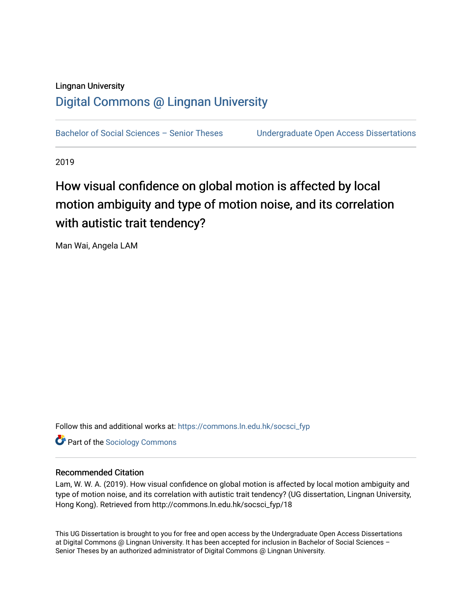## Lingnan University [Digital Commons @ Lingnan University](https://commons.ln.edu.hk/)

Bachelor of Social Sciences - Senior Theses Undergraduate Open Access Dissertations

2019

# How visual confidence on global motion is affected by local motion ambiguity and type of motion noise, and its correlation with autistic trait tendency?

Man Wai, Angela LAM

Follow this and additional works at: [https://commons.ln.edu.hk/socsci\\_fyp](https://commons.ln.edu.hk/socsci_fyp?utm_source=commons.ln.edu.hk%2Fsocsci_fyp%2F18&utm_medium=PDF&utm_campaign=PDFCoverPages)

**Part of the [Sociology Commons](http://network.bepress.com/hgg/discipline/416?utm_source=commons.ln.edu.hk%2Fsocsci_fyp%2F18&utm_medium=PDF&utm_campaign=PDFCoverPages)** 

## Recommended Citation

Lam, W. W. A. (2019). How visual confidence on global motion is affected by local motion ambiguity and type of motion noise, and its correlation with autistic trait tendency? (UG dissertation, Lingnan University, Hong Kong). Retrieved from http://commons.ln.edu.hk/socsci\_fyp/18

This UG Dissertation is brought to you for free and open access by the Undergraduate Open Access Dissertations at Digital Commons @ Lingnan University. It has been accepted for inclusion in Bachelor of Social Sciences – Senior Theses by an authorized administrator of Digital Commons @ Lingnan University.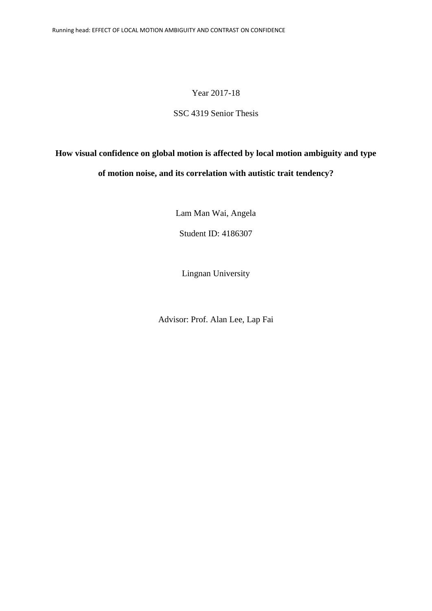## Year 2017-18

## SSC 4319 Senior Thesis

## **How visual confidence on global motion is affected by local motion ambiguity and type of motion noise, and its correlation with autistic trait tendency?**

Lam Man Wai, Angela

Student ID: 4186307

Lingnan University

Advisor: Prof. Alan Lee, Lap Fai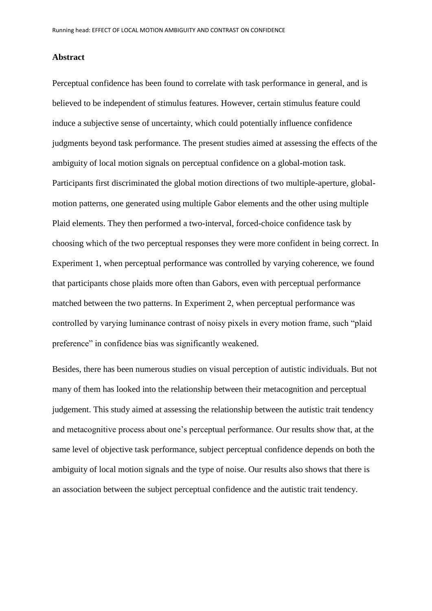#### **Abstract**

Perceptual confidence has been found to correlate with task performance in general, and is believed to be independent of stimulus features. However, certain stimulus feature could induce a subjective sense of uncertainty, which could potentially influence confidence judgments beyond task performance. The present studies aimed at assessing the effects of the ambiguity of local motion signals on perceptual confidence on a global-motion task. Participants first discriminated the global motion directions of two multiple-aperture, globalmotion patterns, one generated using multiple Gabor elements and the other using multiple Plaid elements. They then performed a two-interval, forced-choice confidence task by choosing which of the two perceptual responses they were more confident in being correct. In Experiment 1, when perceptual performance was controlled by varying coherence, we found that participants chose plaids more often than Gabors, even with perceptual performance matched between the two patterns. In Experiment 2, when perceptual performance was controlled by varying luminance contrast of noisy pixels in every motion frame, such "plaid preference" in confidence bias was significantly weakened.

Besides, there has been numerous studies on visual perception of autistic individuals. But not many of them has looked into the relationship between their metacognition and perceptual judgement. This study aimed at assessing the relationship between the autistic trait tendency and metacognitive process about one's perceptual performance. Our results show that, at the same level of objective task performance, subject perceptual confidence depends on both the ambiguity of local motion signals and the type of noise. Our results also shows that there is an association between the subject perceptual confidence and the autistic trait tendency.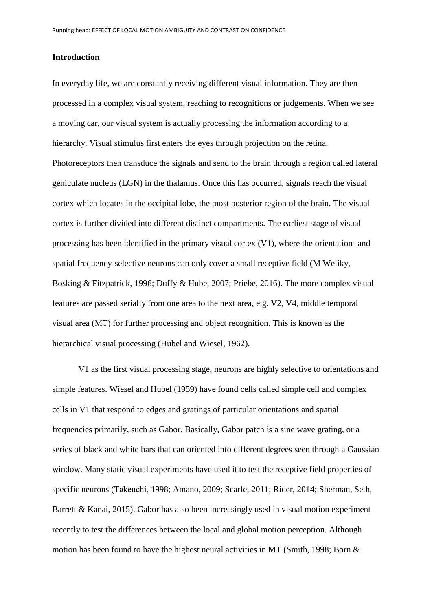#### **Introduction**

In everyday life, we are constantly receiving different visual information. They are then processed in a complex visual system, reaching to recognitions or judgements. When we see a moving car, our visual system is actually processing the information according to a hierarchy. Visual stimulus first enters the eyes through projection on the retina. Photoreceptors then transduce the signals and send to the brain through a region called lateral geniculate nucleus (LGN) in the thalamus. Once this has occurred, signals reach the visual cortex which locates in the occipital lobe, the most posterior region of the brain. The visual cortex is further divided into different distinct compartments. The earliest stage of visual processing has been identified in the primary visual cortex (V1), where the orientation- and spatial frequency-selective neurons can only cover a small receptive field (M Weliky, Bosking & Fitzpatrick, 1996; Duffy & Hube, 2007; Priebe, 2016). The more complex visual features are passed serially from one area to the next area, e.g. V2, V4, middle temporal visual area (MT) for further processing and object recognition. This is known as the hierarchical visual processing (Hubel and Wiesel, 1962).

V1 as the first visual processing stage, neurons are highly selective to orientations and simple features. Wiesel and Hubel (1959) have found cells called simple cell and complex cells in V1 that respond to edges and gratings of particular orientations and spatial frequencies primarily, such as Gabor. Basically, Gabor patch is a sine wave grating, or a series of black and white bars that can oriented into different degrees seen through a Gaussian window. Many static visual experiments have used it to test the receptive field properties of specific neurons (Takeuchi, 1998; Amano, 2009; Scarfe, 2011; Rider, 2014; Sherman, Seth, Barrett & Kanai, 2015). Gabor has also been increasingly used in visual motion experiment recently to test the differences between the local and global motion perception. Although motion has been found to have the highest neural activities in MT (Smith, 1998; Born &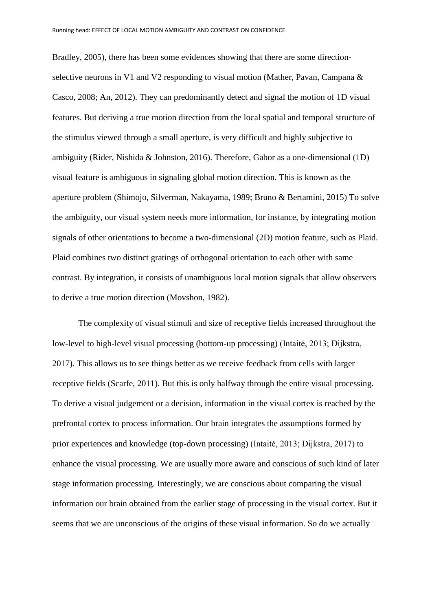Bradley, 2005), there has been some evidences showing that there are some directionselective neurons in V1 and V2 responding to visual motion (Mather, Pavan, Campana & Casco, 2008; An, 2012). They can predominantly detect and signal the motion of 1D visual features. But deriving a true motion direction from the local spatial and temporal structure of the stimulus viewed through a small aperture, is very difficult and highly subjective to ambiguity (Rider, Nishida & Johnston, 2016). Therefore, Gabor as a one-dimensional (1D) visual feature is ambiguous in signaling global motion direction. This is known as the aperture problem (Shimojo, Silverman, Nakayama, 1989; Bruno & Bertamini, 2015) To solve the ambiguity, our visual system needs more information, for instance, by integrating motion signals of other orientations to become a two-dimensional (2D) motion feature, such as Plaid. Plaid combines two distinct gratings of orthogonal orientation to each other with same contrast. By integration, it consists of unambiguous local motion signals that allow observers to derive a true motion direction (Movshon, 1982).

The complexity of visual stimuli and size of receptive fields increased throughout the low-level to high-level visual processing (bottom-up processing) (Intaitė, 2013; Dijkstra, 2017). This allows us to see things better as we receive feedback from cells with larger receptive fields (Scarfe, 2011). But this is only halfway through the entire visual processing. To derive a visual judgement or a decision, information in the visual cortex is reached by the prefrontal cortex to process information. Our brain integrates the assumptions formed by prior experiences and knowledge (top-down processing) (Intaitė, 2013; Dijkstra, 2017) to enhance the visual processing. We are usually more aware and conscious of such kind of later stage information processing. Interestingly, we are conscious about comparing the visual information our brain obtained from the earlier stage of processing in the visual cortex. But it seems that we are unconscious of the origins of these visual information. So do we actually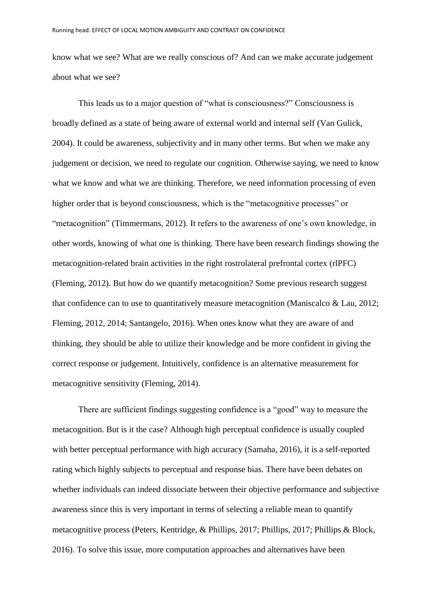know what we see? What are we really conscious of? And can we make accurate judgement about what we see?

This leads us to a major question of "what is consciousness?" Consciousness is broadly defined as a state of being aware of external world and internal self (Van Gulick, 2004). It could be awareness, subjectivity and in many other terms. But when we make any judgement or decision, we need to regulate our cognition. Otherwise saying, we need to know what we know and what we are thinking. Therefore, we need information processing of even higher order that is beyond consciousness, which is the "metacognitive processes" or "metacognition" (Timmermans, 2012). It refers to the awareness of one's own knowledge, in other words, knowing of what one is thinking. There have been research findings showing the metacognition-related brain activities in the right rostrolateral prefrontal cortex (rlPFC) (Fleming, 2012). But how do we quantify metacognition? Some previous research suggest that confidence can to use to quantitatively measure metacognition (Maniscalco & Lau, 2012; Fleming, 2012, 2014; Santangelo, 2016). When ones know what they are aware of and thinking, they should be able to utilize their knowledge and be more confident in giving the correct response or judgement. Intuitively, confidence is an alternative measurement for metacognitive sensitivity (Fleming, 2014).

There are sufficient findings suggesting confidence is a "good" way to measure the metacognition. But is it the case? Although high perceptual confidence is usually coupled with better perceptual performance with high accuracy (Samaha, 2016), it is a self-reported rating which highly subjects to perceptual and response bias. There have been debates on whether individuals can indeed dissociate between their objective performance and subjective awareness since this is very important in terms of selecting a reliable mean to quantify metacognitive process (Peters, Kentridge, & Phillips, 2017; Phillips, 2017; Phillips & Block, 2016). To solve this issue, more computation approaches and alternatives have been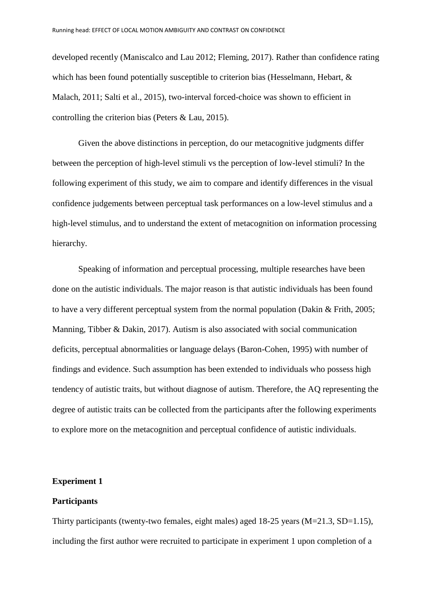developed recently (Maniscalco and Lau 2012; Fleming, 2017). Rather than confidence rating which has been found potentially susceptible to criterion bias (Hesselmann, Hebart, & Malach, 2011; Salti et al., 2015), two-interval forced-choice was shown to efficient in controlling the criterion bias (Peters & Lau, 2015).

Given the above distinctions in perception, do our metacognitive judgments differ between the perception of high-level stimuli vs the perception of low-level stimuli? In the following experiment of this study, we aim to compare and identify differences in the visual confidence judgements between perceptual task performances on a low-level stimulus and a high-level stimulus, and to understand the extent of metacognition on information processing hierarchy.

Speaking of information and perceptual processing, multiple researches have been done on the autistic individuals. The major reason is that autistic individuals has been found to have a very different perceptual system from the normal population (Dakin & Frith, 2005; Manning, Tibber & Dakin, 2017). Autism is also associated with social communication deficits, perceptual abnormalities or language delays (Baron-Cohen, 1995) with number of findings and evidence. Such assumption has been extended to individuals who possess high tendency of autistic traits, but without diagnose of autism. Therefore, the AQ representing the degree of autistic traits can be collected from the participants after the following experiments to explore more on the metacognition and perceptual confidence of autistic individuals.

## **Experiment 1**

## **Participants**

Thirty participants (twenty-two females, eight males) aged  $18-25$  years (M=21.3, SD=1.15), including the first author were recruited to participate in experiment 1 upon completion of a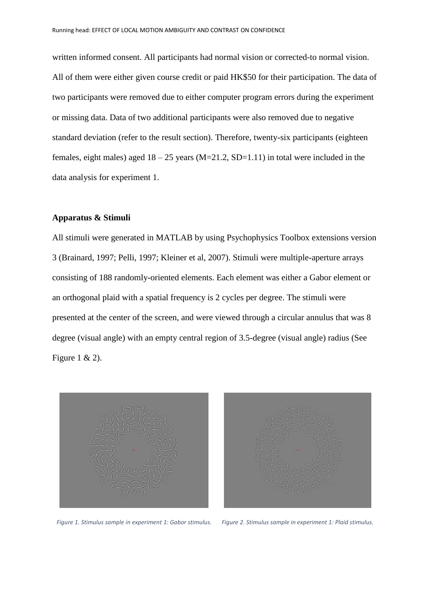written informed consent. All participants had normal vision or corrected-to normal vision. All of them were either given course credit or paid HK\$50 for their participation. The data of two participants were removed due to either computer program errors during the experiment or missing data. Data of two additional participants were also removed due to negative standard deviation (refer to the result section). Therefore, twenty-six participants (eighteen females, eight males) aged  $18 - 25$  years (M=21.2, SD=1.11) in total were included in the data analysis for experiment 1.

## **Apparatus & Stimuli**

All stimuli were generated in MATLAB by using Psychophysics Toolbox extensions version 3 (Brainard, 1997; Pelli, 1997; Kleiner et al, 2007). Stimuli were multiple-aperture arrays consisting of 188 randomly-oriented elements. Each element was either a Gabor element or an orthogonal plaid with a spatial frequency is 2 cycles per degree. The stimuli were presented at the center of the screen, and were viewed through a circular annulus that was 8 degree (visual angle) with an empty central region of 3.5-degree (visual angle) radius (See Figure 1 & 2).





*Figure 1. Stimulus sample in experiment 1: Gabor stimulus. Figure 2. Stimulus sample in experiment 1: Plaid stimulus.*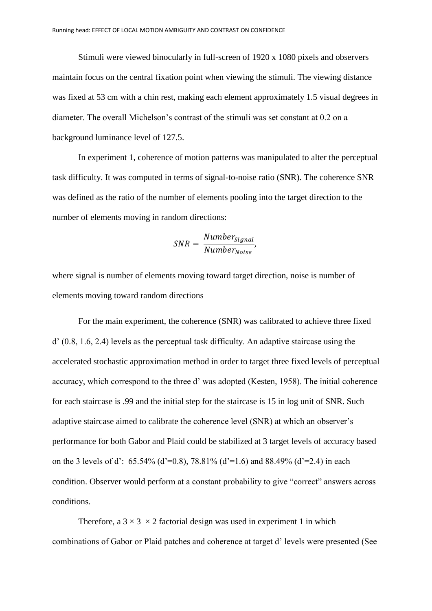Stimuli were viewed binocularly in full-screen of 1920 x 1080 pixels and observers maintain focus on the central fixation point when viewing the stimuli. The viewing distance was fixed at 53 cm with a chin rest, making each element approximately 1.5 visual degrees in diameter. The overall Michelson's contrast of the stimuli was set constant at 0.2 on a background luminance level of 127.5.

In experiment 1, coherence of motion patterns was manipulated to alter the perceptual task difficulty. It was computed in terms of signal-to-noise ratio (SNR). The coherence SNR was defined as the ratio of the number of elements pooling into the target direction to the number of elements moving in random directions:

#### $SNR = \frac{Number_{Signal}}{Number_{Signal}}$ Number<sub>Noise</sub> ,

where signal is number of elements moving toward target direction, noise is number of elements moving toward random directions

For the main experiment, the coherence (SNR) was calibrated to achieve three fixed d' (0.8, 1.6, 2.4) levels as the perceptual task difficulty. An adaptive staircase using the accelerated stochastic approximation method in order to target three fixed levels of perceptual accuracy, which correspond to the three d' was adopted (Kesten, 1958). The initial coherence for each staircase is .99 and the initial step for the staircase is 15 in log unit of SNR. Such adaptive staircase aimed to calibrate the coherence level (SNR) at which an observer's performance for both Gabor and Plaid could be stabilized at 3 target levels of accuracy based on the 3 levels of d':  $65.54\%$  (d'=0.8),  $78.81\%$  (d'=1.6) and  $88.49\%$  (d'=2.4) in each condition. Observer would perform at a constant probability to give "correct" answers across conditions.

Therefore, a  $3 \times 3 \times 2$  factorial design was used in experiment 1 in which combinations of Gabor or Plaid patches and coherence at target d' levels were presented (See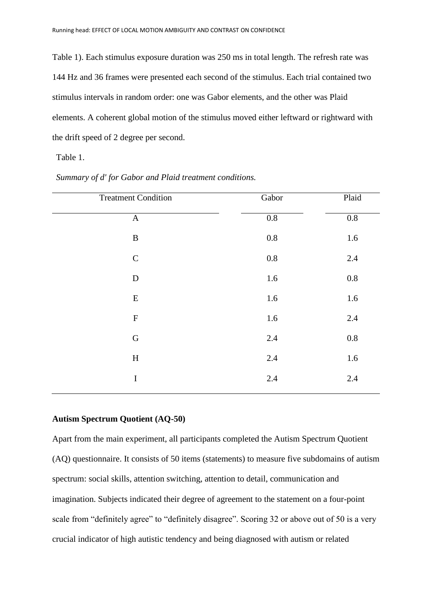Table 1). Each stimulus exposure duration was 250 ms in total length. The refresh rate was 144 Hz and 36 frames were presented each second of the stimulus. Each trial contained two stimulus intervals in random order: one was Gabor elements, and the other was Plaid elements. A coherent global motion of the stimulus moved either leftward or rightward with the drift speed of 2 degree per second.

Table 1.

| <b>Treatment Condition</b> | Gabor   | Plaid   |
|----------------------------|---------|---------|
| $\mathbf A$                | $0.8\,$ | $0.8\,$ |
| $\, {\bf B}$               | $0.8\,$ | 1.6     |
| ${\bf C}$                  | $0.8\,$ | 2.4     |
| ${\bf D}$                  | 1.6     | $0.8\,$ |
| ${\bf E}$                  | 1.6     | 1.6     |
| ${\bf F}$                  | 1.6     | $2.4\,$ |
| ${\bf G}$                  | 2.4     | $0.8\,$ |
| $\boldsymbol{\mathrm{H}}$  | 2.4     | 1.6     |
| $\bf I$                    | 2.4     | 2.4     |

*Summary of d' for Gabor and Plaid treatment conditions.*

## **Autism Spectrum Quotient (AQ-50)**

Apart from the main experiment, all participants completed the Autism Spectrum Quotient (AQ) questionnaire. It consists of 50 items (statements) to measure five subdomains of autism spectrum: social skills, attention switching, attention to detail, communication and imagination. Subjects indicated their degree of agreement to the statement on a four-point scale from "definitely agree" to "definitely disagree". Scoring 32 or above out of 50 is a very crucial indicator of high autistic tendency and being diagnosed with autism or related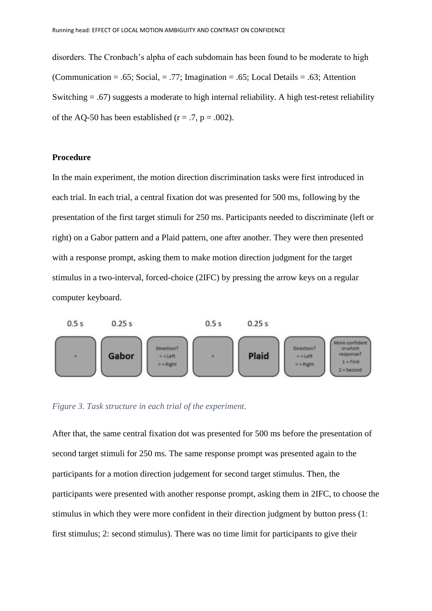disorders. The Cronbach's alpha of each subdomain has been found to be moderate to high (Communication = .65; Social, = .77; Imagination = .65; Local Details = .63; Attention Switching  $= .67$ ) suggests a moderate to high internal reliability. A high test-retest reliability of the AQ-50 has been established ( $r = .7$ ,  $p = .002$ ).

## **Procedure**

In the main experiment, the motion direction discrimination tasks were first introduced in each trial. In each trial, a central fixation dot was presented for 500 ms, following by the presentation of the first target stimuli for 250 ms. Participants needed to discriminate (left or right) on a Gabor pattern and a Plaid pattern, one after another. They were then presented with a response prompt, asking them to make motion direction judgment for the target stimulus in a two-interval, forced-choice (2IFC) by pressing the arrow keys on a regular computer keyboard.



*Figure 3. Task structure in each trial of the experiment.* 

After that, the same central fixation dot was presented for 500 ms before the presentation of second target stimuli for 250 ms. The same response prompt was presented again to the participants for a motion direction judgement for second target stimulus. Then, the participants were presented with another response prompt, asking them in 2IFC, to choose the stimulus in which they were more confident in their direction judgment by button press (1: first stimulus; 2: second stimulus). There was no time limit for participants to give their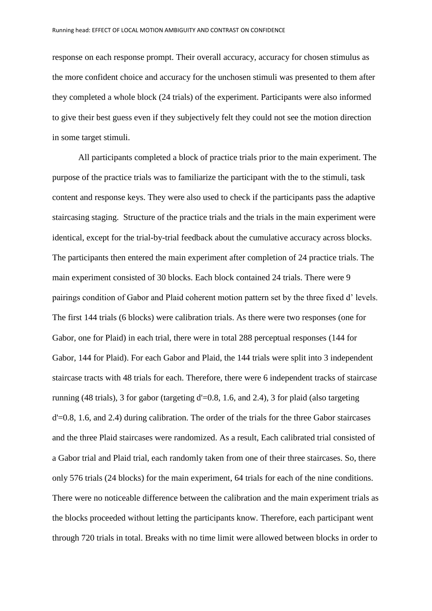response on each response prompt. Their overall accuracy, accuracy for chosen stimulus as the more confident choice and accuracy for the unchosen stimuli was presented to them after they completed a whole block (24 trials) of the experiment. Participants were also informed to give their best guess even if they subjectively felt they could not see the motion direction in some target stimuli.

All participants completed a block of practice trials prior to the main experiment. The purpose of the practice trials was to familiarize the participant with the to the stimuli, task content and response keys. They were also used to check if the participants pass the adaptive staircasing staging. Structure of the practice trials and the trials in the main experiment were identical, except for the trial-by-trial feedback about the cumulative accuracy across blocks. The participants then entered the main experiment after completion of 24 practice trials. The main experiment consisted of 30 blocks. Each block contained 24 trials. There were 9 pairings condition of Gabor and Plaid coherent motion pattern set by the three fixed d' levels. The first 144 trials (6 blocks) were calibration trials. As there were two responses (one for Gabor, one for Plaid) in each trial, there were in total 288 perceptual responses (144 for Gabor, 144 for Plaid). For each Gabor and Plaid, the 144 trials were split into 3 independent staircase tracts with 48 trials for each. Therefore, there were 6 independent tracks of staircase running (48 trials), 3 for gabor (targeting d'=0.8, 1.6, and 2.4), 3 for plaid (also targeting d'=0.8, 1.6, and 2.4) during calibration. The order of the trials for the three Gabor staircases and the three Plaid staircases were randomized. As a result, Each calibrated trial consisted of a Gabor trial and Plaid trial, each randomly taken from one of their three staircases. So, there only 576 trials (24 blocks) for the main experiment, 64 trials for each of the nine conditions. There were no noticeable difference between the calibration and the main experiment trials as the blocks proceeded without letting the participants know. Therefore, each participant went through 720 trials in total. Breaks with no time limit were allowed between blocks in order to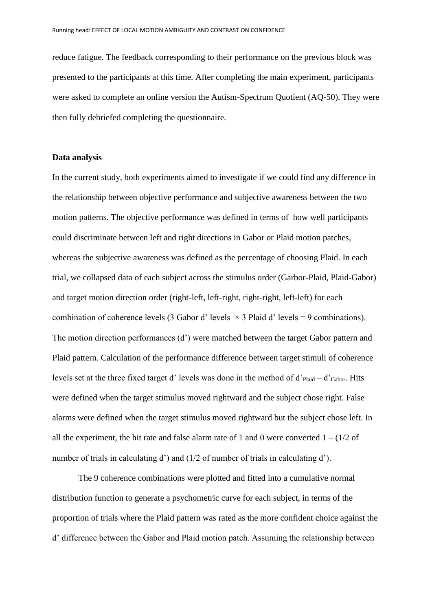reduce fatigue. The feedback corresponding to their performance on the previous block was presented to the participants at this time. After completing the main experiment, participants were asked to complete an online version the Autism-Spectrum Quotient (AQ-50). They were then fully debriefed completing the questionnaire.

#### **Data analysis**

In the current study, both experiments aimed to investigate if we could find any difference in the relationship between objective performance and subjective awareness between the two motion patterns. The objective performance was defined in terms of how well participants could discriminate between left and right directions in Gabor or Plaid motion patches, whereas the subjective awareness was defined as the percentage of choosing Plaid. In each trial, we collapsed data of each subject across the stimulus order (Garbor-Plaid, Plaid-Gabor) and target motion direction order (right-left, left-right, right-right, left-left) for each combination of coherence levels (3 Gabor d' levels  $\times$  3 Plaid d' levels = 9 combinations). The motion direction performances (d') were matched between the target Gabor pattern and Plaid pattern. Calculation of the performance difference between target stimuli of coherence levels set at the three fixed target d' levels was done in the method of d'<sub>Plaid</sub> – d'<sub>Gabor</sub>. Hits were defined when the target stimulus moved rightward and the subject chose right. False alarms were defined when the target stimulus moved rightward but the subject chose left. In all the experiment, the hit rate and false alarm rate of 1 and 0 were converted  $1 - (1/2)$  of number of trials in calculating d') and (1/2 of number of trials in calculating d').

The 9 coherence combinations were plotted and fitted into a cumulative normal distribution function to generate a psychometric curve for each subject, in terms of the proportion of trials where the Plaid pattern was rated as the more confident choice against the d' difference between the Gabor and Plaid motion patch. Assuming the relationship between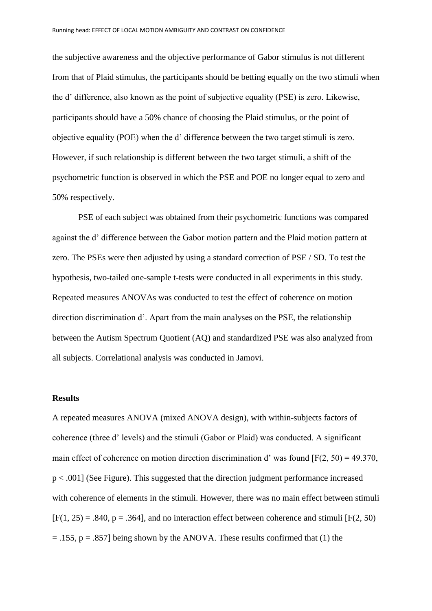the subjective awareness and the objective performance of Gabor stimulus is not different from that of Plaid stimulus, the participants should be betting equally on the two stimuli when the d' difference, also known as the point of subjective equality (PSE) is zero. Likewise, participants should have a 50% chance of choosing the Plaid stimulus, or the point of objective equality (POE) when the d' difference between the two target stimuli is zero. However, if such relationship is different between the two target stimuli, a shift of the psychometric function is observed in which the PSE and POE no longer equal to zero and 50% respectively.

PSE of each subject was obtained from their psychometric functions was compared against the d' difference between the Gabor motion pattern and the Plaid motion pattern at zero. The PSEs were then adjusted by using a standard correction of PSE / SD. To test the hypothesis, two-tailed one-sample t-tests were conducted in all experiments in this study. Repeated measures ANOVAs was conducted to test the effect of coherence on motion direction discrimination d'. Apart from the main analyses on the PSE, the relationship between the Autism Spectrum Quotient (AQ) and standardized PSE was also analyzed from all subjects. Correlational analysis was conducted in Jamovi.

#### **Results**

A repeated measures ANOVA (mixed ANOVA design), with within-subjects factors of coherence (three d' levels) and the stimuli (Gabor or Plaid) was conducted. A significant main effect of coherence on motion direction discrimination d' was found  $[F(2, 50) = 49.370]$ . p < .001] (See Figure). This suggested that the direction judgment performance increased with coherence of elements in the stimuli. However, there was no main effect between stimuli  $[F(1, 25) = .840, p = .364]$ , and no interaction effect between coherence and stimuli  $[F(2, 50)$  $= .155$ ,  $p = .857$ ] being shown by the ANOVA. These results confirmed that (1) the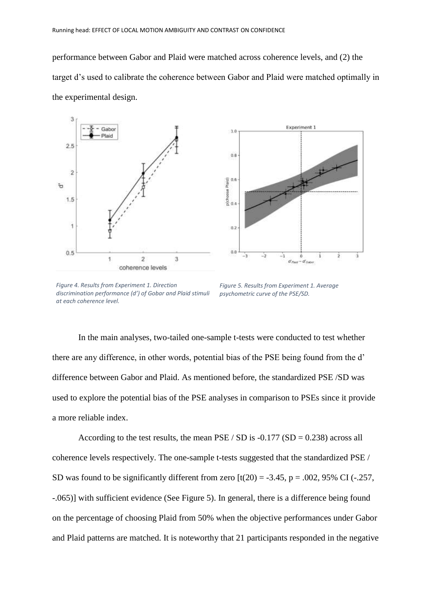performance between Gabor and Plaid were matched across coherence levels, and (2) the target d's used to calibrate the coherence between Gabor and Plaid were matched optimally in the experimental design.





*Figure 4. Results from Experiment 1. Direction discrimination performance (d') of Gobar and Plaid stimuli at each coherence level.* 

*Figure 5. Results from Experiment 1. Average psychometric curve of the PSE/SD.* 

In the main analyses, two-tailed one-sample t-tests were conducted to test whether there are any difference, in other words, potential bias of the PSE being found from the d' difference between Gabor and Plaid. As mentioned before, the standardized PSE /SD was used to explore the potential bias of the PSE analyses in comparison to PSEs since it provide a more reliable index.

According to the test results, the mean  $PSE / SD$  is  $-0.177 (SD = 0.238)$  across all coherence levels respectively. The one-sample t-tests suggested that the standardized PSE / SD was found to be significantly different from zero  $[t(20) = -3.45, p = .002, 95\% \text{ CI} (-.257,$ -.065)] with sufficient evidence (See Figure 5). In general, there is a difference being found on the percentage of choosing Plaid from 50% when the objective performances under Gabor and Plaid patterns are matched. It is noteworthy that 21 participants responded in the negative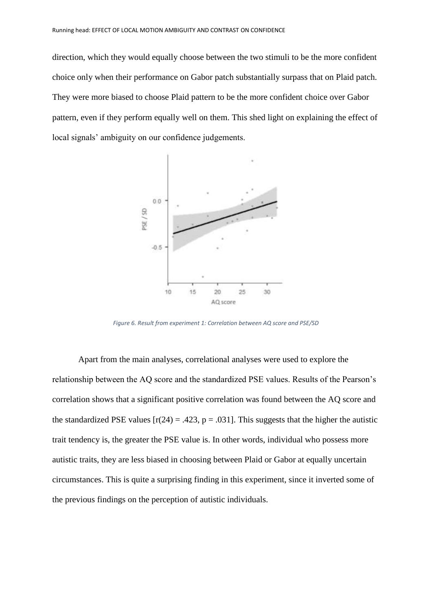direction, which they would equally choose between the two stimuli to be the more confident choice only when their performance on Gabor patch substantially surpass that on Plaid patch. They were more biased to choose Plaid pattern to be the more confident choice over Gabor pattern, even if they perform equally well on them. This shed light on explaining the effect of local signals' ambiguity on our confidence judgements.



*Figure 6. Result from experiment 1: Correlation between AQ score and PSE/SD*

Apart from the main analyses, correlational analyses were used to explore the relationship between the AQ score and the standardized PSE values. Results of the Pearson's correlation shows that a significant positive correlation was found between the AQ score and the standardized PSE values  $[r(24) = .423, p = .031]$ . This suggests that the higher the autistic trait tendency is, the greater the PSE value is. In other words, individual who possess more autistic traits, they are less biased in choosing between Plaid or Gabor at equally uncertain circumstances. This is quite a surprising finding in this experiment, since it inverted some of the previous findings on the perception of autistic individuals.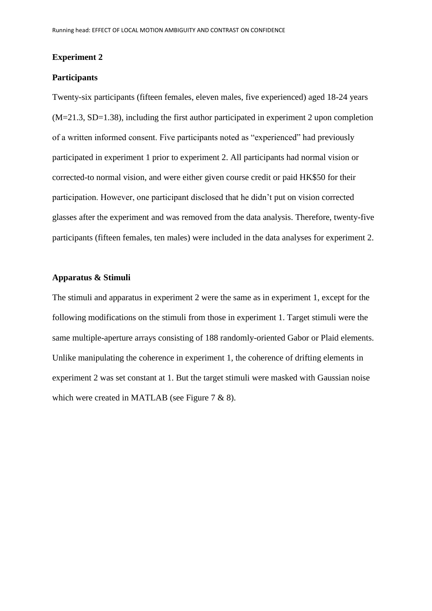#### **Experiment 2**

## **Participants**

Twenty-six participants (fifteen females, eleven males, five experienced) aged 18-24 years (M=21.3, SD=1.38), including the first author participated in experiment 2 upon completion of a written informed consent. Five participants noted as "experienced" had previously participated in experiment 1 prior to experiment 2. All participants had normal vision or corrected-to normal vision, and were either given course credit or paid HK\$50 for their participation. However, one participant disclosed that he didn't put on vision corrected glasses after the experiment and was removed from the data analysis. Therefore, twenty-five participants (fifteen females, ten males) were included in the data analyses for experiment 2.

## **Apparatus & Stimuli**

The stimuli and apparatus in experiment 2 were the same as in experiment 1, except for the following modifications on the stimuli from those in experiment 1. Target stimuli were the same multiple-aperture arrays consisting of 188 randomly-oriented Gabor or Plaid elements. Unlike manipulating the coherence in experiment 1, the coherence of drifting elements in experiment 2 was set constant at 1. But the target stimuli were masked with Gaussian noise which were created in MATLAB (see Figure 7 & 8).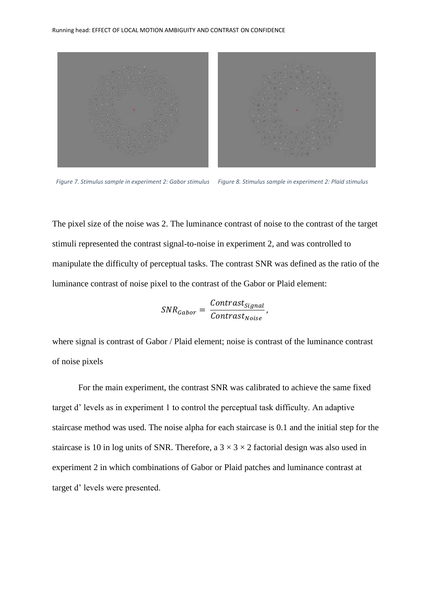

*Figure 7. Stimulus sample in experiment 2: Gabor stimulus Figure 8. Stimulus sample in experiment 2: Plaid stimulus*

The pixel size of the noise was 2. The luminance contrast of noise to the contrast of the target stimuli represented the contrast signal-to-noise in experiment 2, and was controlled to manipulate the difficulty of perceptual tasks. The contrast SNR was defined as the ratio of the luminance contrast of noise pixel to the contrast of the Gabor or Plaid element:

$$
SNR_{Gabor} = \frac{Contrast_{Signal}}{Contrast_{Noise}},
$$

where signal is contrast of Gabor / Plaid element; noise is contrast of the luminance contrast of noise pixels

For the main experiment, the contrast SNR was calibrated to achieve the same fixed target d' levels as in experiment 1 to control the perceptual task difficulty. An adaptive staircase method was used. The noise alpha for each staircase is 0.1 and the initial step for the staircase is 10 in log units of SNR. Therefore, a  $3 \times 3 \times 2$  factorial design was also used in experiment 2 in which combinations of Gabor or Plaid patches and luminance contrast at target d' levels were presented.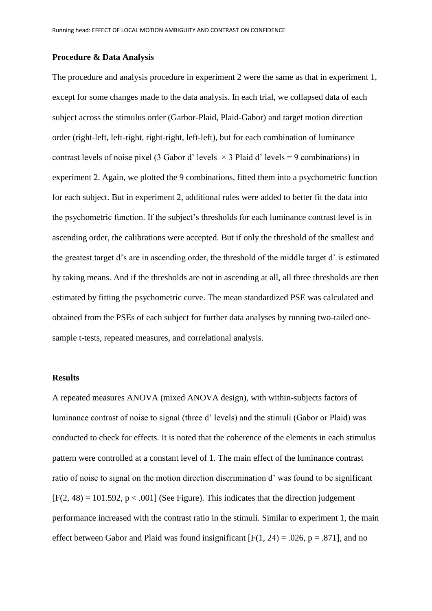#### **Procedure & Data Analysis**

The procedure and analysis procedure in experiment 2 were the same as that in experiment 1, except for some changes made to the data analysis. In each trial, we collapsed data of each subject across the stimulus order (Garbor-Plaid, Plaid-Gabor) and target motion direction order (right-left, left-right, right-right, left-left), but for each combination of luminance contrast levels of noise pixel (3 Gabor d' levels  $\times$  3 Plaid d' levels = 9 combinations) in experiment 2. Again, we plotted the 9 combinations, fitted them into a psychometric function for each subject. But in experiment 2, additional rules were added to better fit the data into the psychometric function. If the subject's thresholds for each luminance contrast level is in ascending order, the calibrations were accepted. But if only the threshold of the smallest and the greatest target d's are in ascending order, the threshold of the middle target d' is estimated by taking means. And if the thresholds are not in ascending at all, all three thresholds are then estimated by fitting the psychometric curve. The mean standardized PSE was calculated and obtained from the PSEs of each subject for further data analyses by running two-tailed onesample t-tests, repeated measures, and correlational analysis.

## **Results**

A repeated measures ANOVA (mixed ANOVA design), with within-subjects factors of luminance contrast of noise to signal (three d' levels) and the stimuli (Gabor or Plaid) was conducted to check for effects. It is noted that the coherence of the elements in each stimulus pattern were controlled at a constant level of 1. The main effect of the luminance contrast ratio of noise to signal on the motion direction discrimination d' was found to be significant  $[F(2, 48) = 101.592, p < .001]$  (See Figure). This indicates that the direction judgement performance increased with the contrast ratio in the stimuli. Similar to experiment 1, the main effect between Gabor and Plaid was found insignificant  $[F(1, 24) = .026, p = .871]$ , and no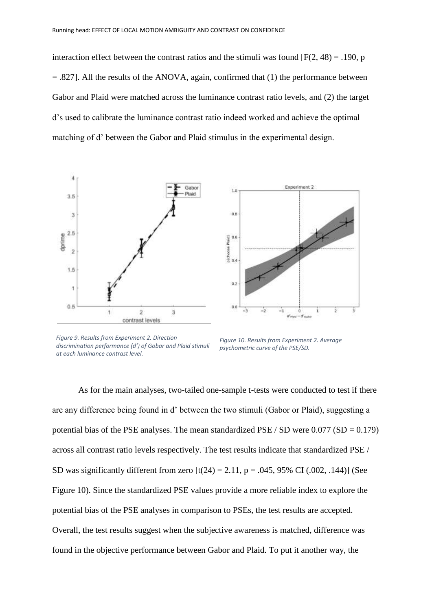interaction effect between the contrast ratios and the stimuli was found  $[F(2, 48) = .190$ , p  $=$  .827]. All the results of the ANOVA, again, confirmed that (1) the performance between Gabor and Plaid were matched across the luminance contrast ratio levels, and (2) the target d's used to calibrate the luminance contrast ratio indeed worked and achieve the optimal matching of d' between the Gabor and Plaid stimulus in the experimental design.



*Figure 9. Results from Experiment 2. Direction discrimination performance (d') of Gobar and Plaid stimuli at each luminance contrast level.*

*Figure 10. Results from Experiment 2. Average psychometric curve of the PSE/SD.*

As for the main analyses, two-tailed one-sample t-tests were conducted to test if there are any difference being found in d' between the two stimuli (Gabor or Plaid), suggesting a potential bias of the PSE analyses. The mean standardized PSE / SD were  $0.077$  (SD =  $0.179$ ) across all contrast ratio levels respectively. The test results indicate that standardized PSE / SD was significantly different from zero  $[t(24) = 2.11, p = .045, 95\% \text{ CI } (.002, .144)]$  (See Figure 10). Since the standardized PSE values provide a more reliable index to explore the potential bias of the PSE analyses in comparison to PSEs, the test results are accepted. Overall, the test results suggest when the subjective awareness is matched, difference was found in the objective performance between Gabor and Plaid. To put it another way, the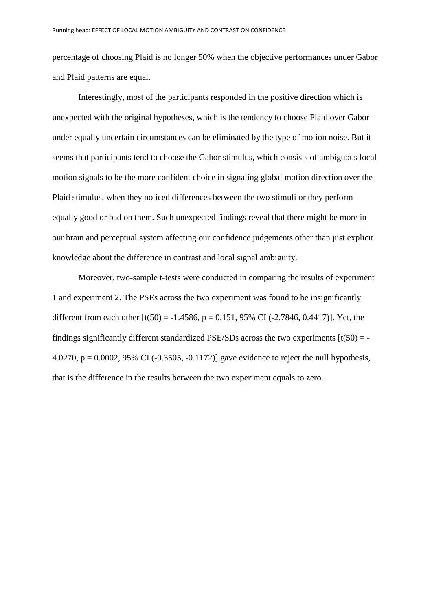percentage of choosing Plaid is no longer 50% when the objective performances under Gabor and Plaid patterns are equal.

Interestingly, most of the participants responded in the positive direction which is unexpected with the original hypotheses, which is the tendency to choose Plaid over Gabor under equally uncertain circumstances can be eliminated by the type of motion noise. But it seems that participants tend to choose the Gabor stimulus, which consists of ambiguous local motion signals to be the more confident choice in signaling global motion direction over the Plaid stimulus, when they noticed differences between the two stimuli or they perform equally good or bad on them. Such unexpected findings reveal that there might be more in our brain and perceptual system affecting our confidence judgements other than just explicit knowledge about the difference in contrast and local signal ambiguity.

Moreover, two-sample t-tests were conducted in comparing the results of experiment 1 and experiment 2. The PSEs across the two experiment was found to be insignificantly different from each other  $[t(50) = -1.4586, p = 0.151, 95\% \text{ CI} (-2.7846, 0.4417)]$ . Yet, the findings significantly different standardized PSE/SDs across the two experiments  $[t(50) = -1]$ 4.0270,  $p = 0.0002$ , 95% CI (-0.3505, -0.1172)] gave evidence to reject the null hypothesis, that is the difference in the results between the two experiment equals to zero.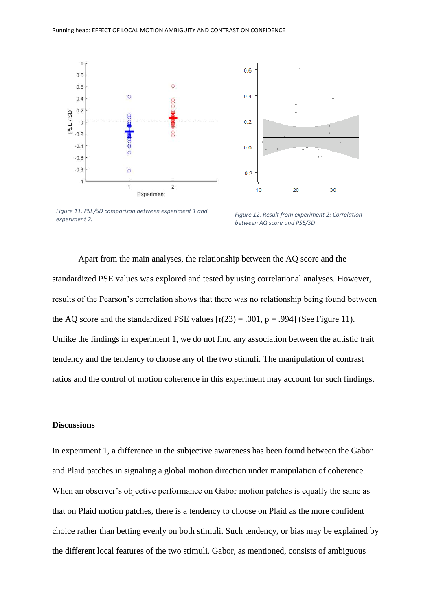



 $0<sub>6</sub>$ 

*Figure 11. PSE/SD comparison between experiment 1 and experiment 2.* 

*Figure 12. Result from experiment 2: Correlation between AQ score and PSE/SD*

Apart from the main analyses, the relationship between the AQ score and the standardized PSE values was explored and tested by using correlational analyses. However, results of the Pearson's correlation shows that there was no relationship being found between the AQ score and the standardized PSE values  $[r(23) = .001, p = .994]$  (See Figure 11). Unlike the findings in experiment 1, we do not find any association between the autistic trait tendency and the tendency to choose any of the two stimuli. The manipulation of contrast ratios and the control of motion coherence in this experiment may account for such findings.

## **Discussions**

In experiment 1, a difference in the subjective awareness has been found between the Gabor and Plaid patches in signaling a global motion direction under manipulation of coherence. When an observer's objective performance on Gabor motion patches is equally the same as that on Plaid motion patches, there is a tendency to choose on Plaid as the more confident choice rather than betting evenly on both stimuli. Such tendency, or bias may be explained by the different local features of the two stimuli. Gabor, as mentioned, consists of ambiguous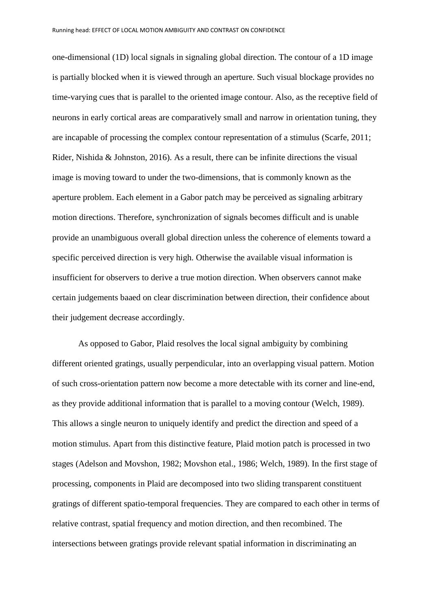one-dimensional (1D) local signals in signaling global direction. The contour of a 1D image is partially blocked when it is viewed through an aperture. Such visual blockage provides no time-varying cues that is parallel to the oriented image contour. Also, as the receptive field of neurons in early cortical areas are comparatively small and narrow in orientation tuning, they are incapable of processing the complex contour representation of a stimulus (Scarfe, 2011; Rider, Nishida & Johnston, 2016). As a result, there can be infinite directions the visual image is moving toward to under the two-dimensions, that is commonly known as the aperture problem. Each element in a Gabor patch may be perceived as signaling arbitrary motion directions. Therefore, synchronization of signals becomes difficult and is unable provide an unambiguous overall global direction unless the coherence of elements toward a specific perceived direction is very high. Otherwise the available visual information is insufficient for observers to derive a true motion direction. When observers cannot make certain judgements baaed on clear discrimination between direction, their confidence about their judgement decrease accordingly.

As opposed to Gabor, Plaid resolves the local signal ambiguity by combining different oriented gratings, usually perpendicular, into an overlapping visual pattern. Motion of such cross-orientation pattern now become a more detectable with its corner and line-end, as they provide additional information that is parallel to a moving contour (Welch, 1989). This allows a single neuron to uniquely identify and predict the direction and speed of a motion stimulus. Apart from this distinctive feature, Plaid motion patch is processed in two stages (Adelson and Movshon, 1982; Movshon etal., 1986; Welch, 1989). In the first stage of processing, components in Plaid are decomposed into two sliding transparent constituent gratings of different spatio-temporal frequencies. They are compared to each other in terms of relative contrast, spatial frequency and motion direction, and then recombined. The intersections between gratings provide relevant spatial information in discriminating an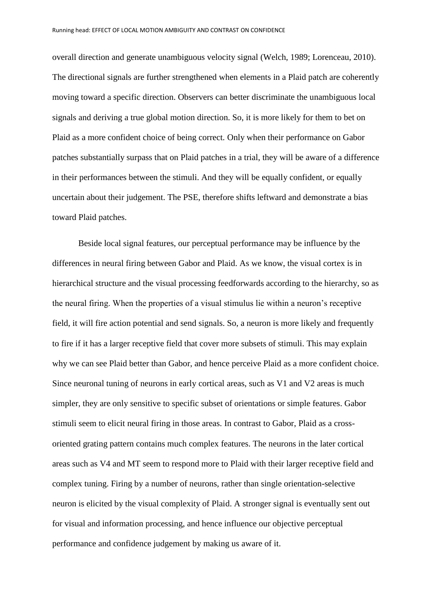overall direction and generate unambiguous velocity signal (Welch, 1989; Lorenceau, 2010). The directional signals are further strengthened when elements in a Plaid patch are coherently moving toward a specific direction. Observers can better discriminate the unambiguous local signals and deriving a true global motion direction. So, it is more likely for them to bet on Plaid as a more confident choice of being correct. Only when their performance on Gabor patches substantially surpass that on Plaid patches in a trial, they will be aware of a difference in their performances between the stimuli. And they will be equally confident, or equally uncertain about their judgement. The PSE, therefore shifts leftward and demonstrate a bias toward Plaid patches.

Beside local signal features, our perceptual performance may be influence by the differences in neural firing between Gabor and Plaid. As we know, the visual cortex is in hierarchical structure and the visual processing feedforwards according to the hierarchy, so as the neural firing. When the properties of a visual stimulus lie within a neuron's receptive field, it will fire action potential and send signals. So, a neuron is more likely and frequently to fire if it has a larger receptive field that cover more subsets of stimuli. This may explain why we can see Plaid better than Gabor, and hence perceive Plaid as a more confident choice. Since neuronal tuning of neurons in early cortical areas, such as V1 and V2 areas is much simpler, they are only sensitive to specific subset of orientations or simple features. Gabor stimuli seem to elicit neural firing in those areas. In contrast to Gabor, Plaid as a crossoriented grating pattern contains much complex features. The neurons in the later cortical areas such as V4 and MT seem to respond more to Plaid with their larger receptive field and complex tuning. Firing by a number of neurons, rather than single orientation-selective neuron is elicited by the visual complexity of Plaid. A stronger signal is eventually sent out for visual and information processing, and hence influence our objective perceptual performance and confidence judgement by making us aware of it.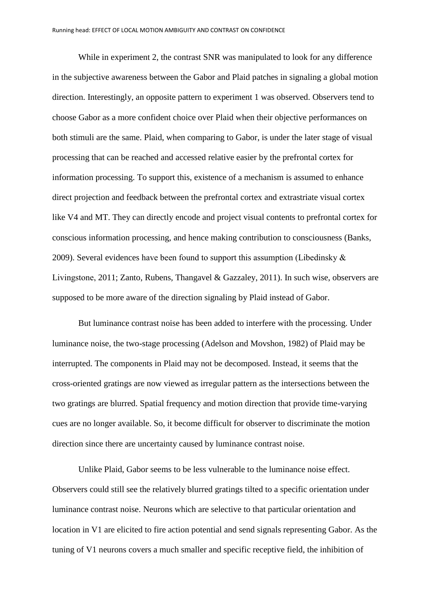While in experiment 2, the contrast SNR was manipulated to look for any difference in the subjective awareness between the Gabor and Plaid patches in signaling a global motion direction. Interestingly, an opposite pattern to experiment 1 was observed. Observers tend to choose Gabor as a more confident choice over Plaid when their objective performances on both stimuli are the same. Plaid, when comparing to Gabor, is under the later stage of visual processing that can be reached and accessed relative easier by the prefrontal cortex for information processing. To support this, existence of a mechanism is assumed to enhance direct projection and feedback between the prefrontal cortex and extrastriate visual cortex like V4 and MT. They can directly encode and project visual contents to prefrontal cortex for conscious information processing, and hence making contribution to consciousness (Banks, 2009). Several evidences have been found to support this assumption (Libedinsky  $\&$ Livingstone, 2011; Zanto, Rubens, Thangavel & Gazzaley, 2011). In such wise, observers are supposed to be more aware of the direction signaling by Plaid instead of Gabor.

But luminance contrast noise has been added to interfere with the processing. Under luminance noise, the two-stage processing (Adelson and Movshon, 1982) of Plaid may be interrupted. The components in Plaid may not be decomposed. Instead, it seems that the cross-oriented gratings are now viewed as irregular pattern as the intersections between the two gratings are blurred. Spatial frequency and motion direction that provide time-varying cues are no longer available. So, it become difficult for observer to discriminate the motion direction since there are uncertainty caused by luminance contrast noise.

Unlike Plaid, Gabor seems to be less vulnerable to the luminance noise effect. Observers could still see the relatively blurred gratings tilted to a specific orientation under luminance contrast noise. Neurons which are selective to that particular orientation and location in V1 are elicited to fire action potential and send signals representing Gabor. As the tuning of V1 neurons covers a much smaller and specific receptive field, the inhibition of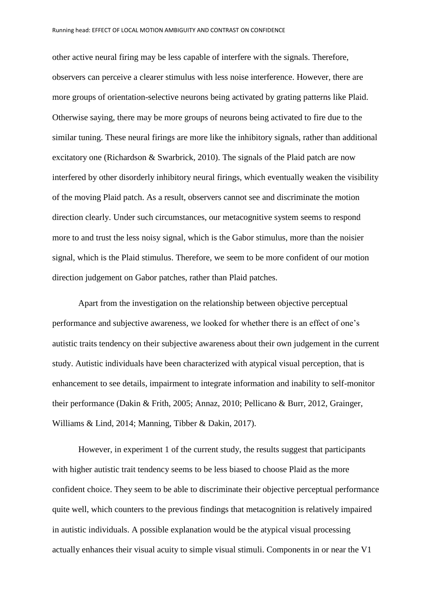other active neural firing may be less capable of interfere with the signals. Therefore, observers can perceive a clearer stimulus with less noise interference. However, there are more groups of orientation-selective neurons being activated by grating patterns like Plaid. Otherwise saying, there may be more groups of neurons being activated to fire due to the similar tuning. These neural firings are more like the inhibitory signals, rather than additional excitatory one (Richardson & Swarbrick, 2010). The signals of the Plaid patch are now interfered by other disorderly inhibitory neural firings, which eventually weaken the visibility of the moving Plaid patch. As a result, observers cannot see and discriminate the motion direction clearly. Under such circumstances, our metacognitive system seems to respond more to and trust the less noisy signal, which is the Gabor stimulus, more than the noisier signal, which is the Plaid stimulus. Therefore, we seem to be more confident of our motion direction judgement on Gabor patches, rather than Plaid patches.

Apart from the investigation on the relationship between objective perceptual performance and subjective awareness, we looked for whether there is an effect of one's autistic traits tendency on their subjective awareness about their own judgement in the current study. Autistic individuals have been characterized with atypical visual perception, that is enhancement to see details, impairment to integrate information and inability to self-monitor their performance (Dakin & Frith, 2005; Annaz, 2010; Pellicano & Burr, 2012, Grainger, Williams & Lind, 2014; Manning, Tibber & Dakin, 2017).

However, in experiment 1 of the current study, the results suggest that participants with higher autistic trait tendency seems to be less biased to choose Plaid as the more confident choice. They seem to be able to discriminate their objective perceptual performance quite well, which counters to the previous findings that metacognition is relatively impaired in autistic individuals. A possible explanation would be the atypical visual processing actually enhances their visual acuity to simple visual stimuli. Components in or near the V1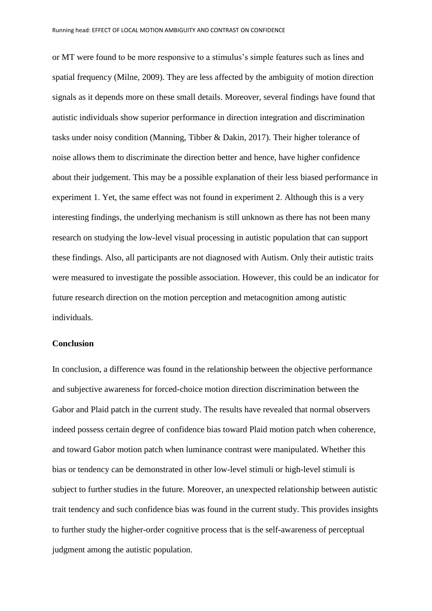or MT were found to be more responsive to a stimulus's simple features such as lines and spatial frequency (Milne, 2009). They are less affected by the ambiguity of motion direction signals as it depends more on these small details. Moreover, several findings have found that autistic individuals show superior performance in direction integration and discrimination tasks under noisy condition (Manning, Tibber & Dakin, 2017). Their higher tolerance of noise allows them to discriminate the direction better and hence, have higher confidence about their judgement. This may be a possible explanation of their less biased performance in experiment 1. Yet, the same effect was not found in experiment 2. Although this is a very interesting findings, the underlying mechanism is still unknown as there has not been many research on studying the low-level visual processing in autistic population that can support these findings. Also, all participants are not diagnosed with Autism. Only their autistic traits were measured to investigate the possible association. However, this could be an indicator for future research direction on the motion perception and metacognition among autistic individuals.

### **Conclusion**

In conclusion, a difference was found in the relationship between the objective performance and subjective awareness for forced-choice motion direction discrimination between the Gabor and Plaid patch in the current study. The results have revealed that normal observers indeed possess certain degree of confidence bias toward Plaid motion patch when coherence, and toward Gabor motion patch when luminance contrast were manipulated. Whether this bias or tendency can be demonstrated in other low-level stimuli or high-level stimuli is subject to further studies in the future. Moreover, an unexpected relationship between autistic trait tendency and such confidence bias was found in the current study. This provides insights to further study the higher-order cognitive process that is the self-awareness of perceptual judgment among the autistic population.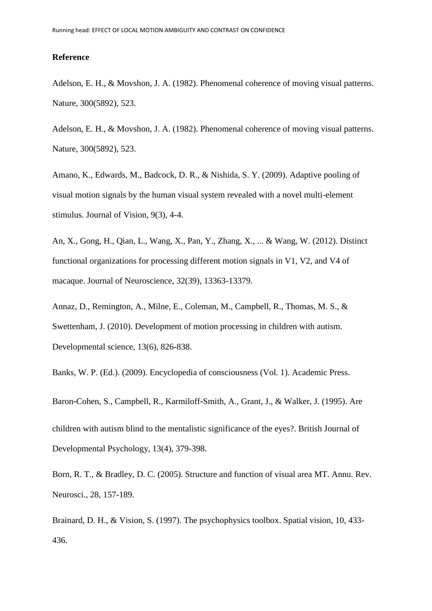#### **Reference**

Adelson, E. H., & Movshon, J. A. (1982). Phenomenal coherence of moving visual patterns. Nature, 300(5892), 523.

Adelson, E. H., & Movshon, J. A. (1982). Phenomenal coherence of moving visual patterns. Nature, 300(5892), 523.

Amano, K., Edwards, M., Badcock, D. R., & Nishida, S. Y. (2009). Adaptive pooling of visual motion signals by the human visual system revealed with a novel multi-element stimulus. Journal of Vision, 9(3), 4-4.

An, X., Gong, H., Qian, L., Wang, X., Pan, Y., Zhang, X., ... & Wang, W. (2012). Distinct functional organizations for processing different motion signals in V1, V2, and V4 of macaque. Journal of Neuroscience, 32(39), 13363-13379.

Annaz, D., Remington, A., Milne, E., Coleman, M., Campbell, R., Thomas, M. S., & Swettenham, J. (2010). Development of motion processing in children with autism. Developmental science, 13(6), 826-838.

Banks, W. P. (Ed.). (2009). Encyclopedia of consciousness (Vol. 1). Academic Press.

Baron‐Cohen, S., Campbell, R., Karmiloff‐Smith, A., Grant, J., & Walker, J. (1995). Are children with autism blind to the mentalistic significance of the eyes?. British Journal of Developmental Psychology, 13(4), 379-398.

Born, R. T., & Bradley, D. C. (2005). Structure and function of visual area MT. Annu. Rev. Neurosci., 28, 157-189.

Brainard, D. H., & Vision, S. (1997). The psychophysics toolbox. Spatial vision, 10, 433- 436.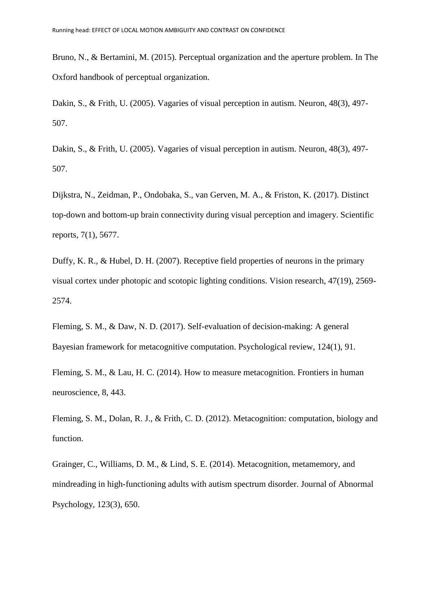Bruno, N., & Bertamini, M. (2015). Perceptual organization and the aperture problem. In The Oxford handbook of perceptual organization.

Dakin, S., & Frith, U. (2005). Vagaries of visual perception in autism. Neuron, 48(3), 497- 507.

Dakin, S., & Frith, U. (2005). Vagaries of visual perception in autism. Neuron, 48(3), 497- 507.

Dijkstra, N., Zeidman, P., Ondobaka, S., van Gerven, M. A., & Friston, K. (2017). Distinct top-down and bottom-up brain connectivity during visual perception and imagery. Scientific reports, 7(1), 5677.

Duffy, K. R., & Hubel, D. H. (2007). Receptive field properties of neurons in the primary visual cortex under photopic and scotopic lighting conditions. Vision research, 47(19), 2569- 2574.

Fleming, S. M., & Daw, N. D. (2017). Self-evaluation of decision-making: A general Bayesian framework for metacognitive computation. Psychological review, 124(1), 91.

Fleming, S. M., & Lau, H. C. (2014). How to measure metacognition. Frontiers in human neuroscience, 8, 443.

Fleming, S. M., Dolan, R. J., & Frith, C. D. (2012). Metacognition: computation, biology and function.

Grainger, C., Williams, D. M., & Lind, S. E. (2014). Metacognition, metamemory, and mindreading in high-functioning adults with autism spectrum disorder. Journal of Abnormal Psychology, 123(3), 650.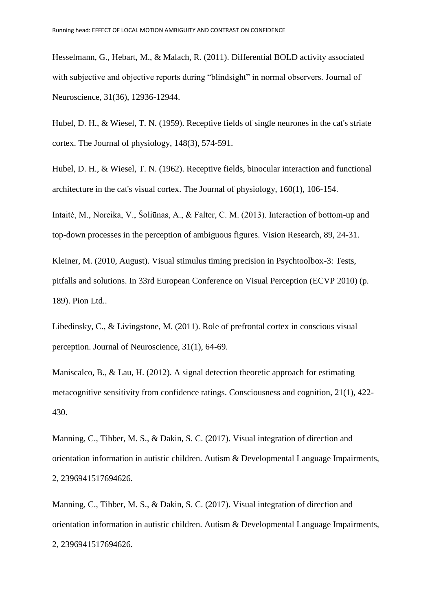Hesselmann, G., Hebart, M., & Malach, R. (2011). Differential BOLD activity associated with subjective and objective reports during "blindsight" in normal observers. Journal of Neuroscience, 31(36), 12936-12944.

Hubel, D. H., & Wiesel, T. N. (1959). Receptive fields of single neurones in the cat's striate cortex. The Journal of physiology, 148(3), 574-591.

Hubel, D. H., & Wiesel, T. N. (1962). Receptive fields, binocular interaction and functional architecture in the cat's visual cortex. The Journal of physiology, 160(1), 106-154.

Intaitė, M., Noreika, V., Šoliūnas, A., & Falter, C. M. (2013). Interaction of bottom-up and top-down processes in the perception of ambiguous figures. Vision Research, 89, 24-31.

Kleiner, M. (2010, August). Visual stimulus timing precision in Psychtoolbox-3: Tests, pitfalls and solutions. In 33rd European Conference on Visual Perception (ECVP 2010) (p. 189). Pion Ltd..

Libedinsky, C., & Livingstone, M. (2011). Role of prefrontal cortex in conscious visual perception. Journal of Neuroscience, 31(1), 64-69.

Maniscalco, B., & Lau, H. (2012). A signal detection theoretic approach for estimating metacognitive sensitivity from confidence ratings. Consciousness and cognition, 21(1), 422- 430.

Manning, C., Tibber, M. S., & Dakin, S. C. (2017). Visual integration of direction and orientation information in autistic children. Autism & Developmental Language Impairments, 2, 2396941517694626.

Manning, C., Tibber, M. S., & Dakin, S. C. (2017). Visual integration of direction and orientation information in autistic children. Autism & Developmental Language Impairments, 2, 2396941517694626.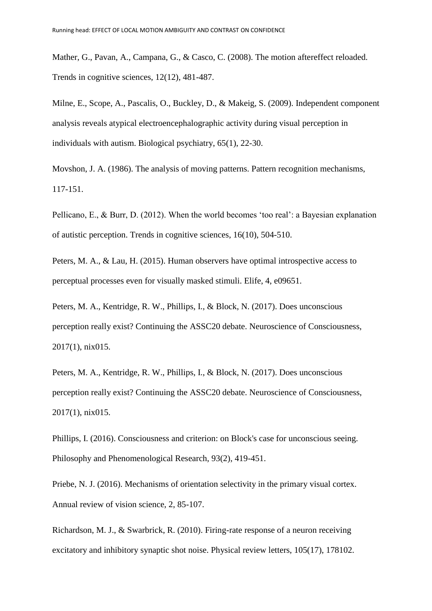Mather, G., Pavan, A., Campana, G., & Casco, C. (2008). The motion aftereffect reloaded. Trends in cognitive sciences, 12(12), 481-487.

Milne, E., Scope, A., Pascalis, O., Buckley, D., & Makeig, S. (2009). Independent component analysis reveals atypical electroencephalographic activity during visual perception in individuals with autism. Biological psychiatry, 65(1), 22-30.

Movshon, J. A. (1986). The analysis of moving patterns. Pattern recognition mechanisms, 117-151.

Pellicano, E., & Burr, D. (2012). When the world becomes 'too real': a Bayesian explanation of autistic perception. Trends in cognitive sciences, 16(10), 504-510.

Peters, M. A., & Lau, H. (2015). Human observers have optimal introspective access to perceptual processes even for visually masked stimuli. Elife, 4, e09651.

Peters, M. A., Kentridge, R. W., Phillips, I., & Block, N. (2017). Does unconscious perception really exist? Continuing the ASSC20 debate. Neuroscience of Consciousness, 2017(1), nix015.

Peters, M. A., Kentridge, R. W., Phillips, I., & Block, N. (2017). Does unconscious perception really exist? Continuing the ASSC20 debate. Neuroscience of Consciousness, 2017(1), nix015.

Phillips, I. (2016). Consciousness and criterion: on Block's case for unconscious seeing. Philosophy and Phenomenological Research, 93(2), 419-451.

Priebe, N. J. (2016). Mechanisms of orientation selectivity in the primary visual cortex. Annual review of vision science, 2, 85-107.

Richardson, M. J., & Swarbrick, R. (2010). Firing-rate response of a neuron receiving excitatory and inhibitory synaptic shot noise. Physical review letters, 105(17), 178102.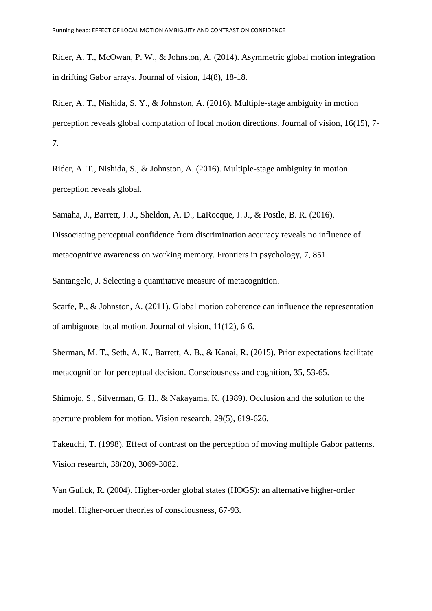Rider, A. T., McOwan, P. W., & Johnston, A. (2014). Asymmetric global motion integration in drifting Gabor arrays. Journal of vision, 14(8), 18-18.

Rider, A. T., Nishida, S. Y., & Johnston, A. (2016). Multiple-stage ambiguity in motion perception reveals global computation of local motion directions. Journal of vision, 16(15), 7- 7.

Rider, A. T., Nishida, S., & Johnston, A. (2016). Multiple-stage ambiguity in motion perception reveals global.

Samaha, J., Barrett, J. J., Sheldon, A. D., LaRocque, J. J., & Postle, B. R. (2016).

Dissociating perceptual confidence from discrimination accuracy reveals no influence of metacognitive awareness on working memory. Frontiers in psychology, 7, 851.

Santangelo, J. Selecting a quantitative measure of metacognition.

Scarfe, P., & Johnston, A. (2011). Global motion coherence can influence the representation of ambiguous local motion. Journal of vision, 11(12), 6-6.

Sherman, M. T., Seth, A. K., Barrett, A. B., & Kanai, R. (2015). Prior expectations facilitate metacognition for perceptual decision. Consciousness and cognition, 35, 53-65.

Shimojo, S., Silverman, G. H., & Nakayama, K. (1989). Occlusion and the solution to the aperture problem for motion. Vision research, 29(5), 619-626.

Takeuchi, T. (1998). Effect of contrast on the perception of moving multiple Gabor patterns. Vision research, 38(20), 3069-3082.

Van Gulick, R. (2004). Higher-order global states (HOGS): an alternative higher-order model. Higher-order theories of consciousness, 67-93.